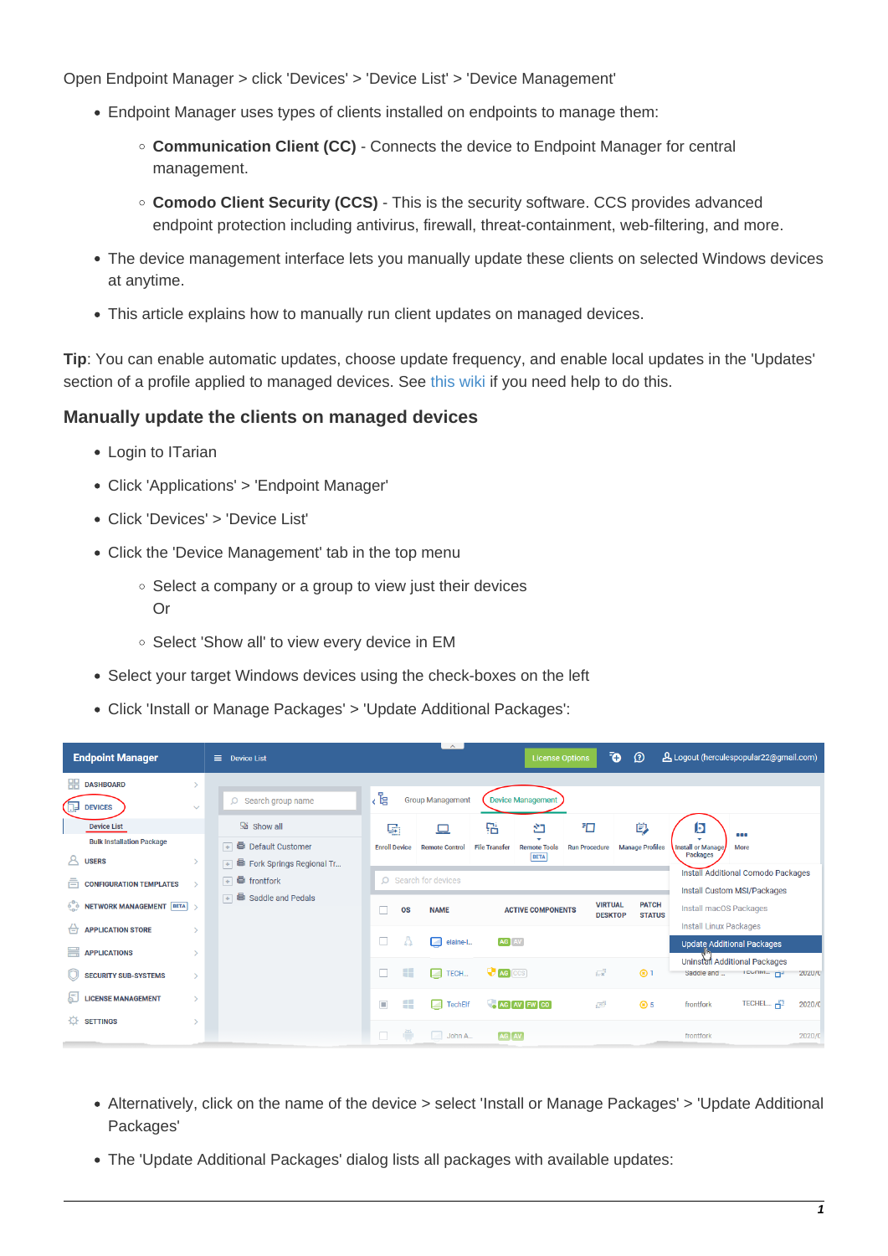Open Endpoint Manager > click 'Devices' > 'Device List' > 'Device Management'

- Endpoint Manager uses types of clients installed on endpoints to manage them:
	- **Communication Client (CC)** Connects the device to Endpoint Manager for central management.
	- **Comodo Client Security (CCS)** This is the security software. CCS provides advanced endpoint protection including antivirus, firewall, threat-containment, web-filtering, and more.
- The device management interface lets you manually update these clients on selected Windows devices at anytime.
- This article explains how to manually run client updates on managed devices.

**Tip**: You can enable automatic updates, choose update frequency, and enable local updates in the 'Updates' section of a profile applied to managed devices. See [this wiki](https://wiki.itarian.com/frontend/web/topic/how-to-configure-client-updates-in-a-windows-profile) if you need help to do this.

## **Manually update the clients on managed devices**

- Login to ITarian
- Click 'Applications' > 'Endpoint Manager'
- Click 'Devices' > 'Device List'
- Click the 'Device Management' tab in the top menu
	- $\circ$  Select a company or a group to view just their devices Or
	- o Select 'Show all' to view every device in EM
- Select your target Windows devices using the check-boxes on the left
- Click 'Install or Manage Packages' > 'Update Additional Packages':

| <b>Endpoint Manager</b>                                                                           | Ξ<br><b>Device List</b>                                                           |                                                                                                                | $\sim$                                        |                           | <b>License Options</b>                  |                            | Ō<br>$\Omega$               | A Logout (herculespopular22@gmail.com)                                                                    |                                                     |                  |
|---------------------------------------------------------------------------------------------------|-----------------------------------------------------------------------------------|----------------------------------------------------------------------------------------------------------------|-----------------------------------------------|---------------------------|-----------------------------------------|----------------------------|-----------------------------|-----------------------------------------------------------------------------------------------------------|-----------------------------------------------------|------------------|
| 嘂<br><b>DASHBOARD</b><br><b>DEVICES</b><br>$\checkmark$                                           | $O$ Search group name                                                             | 、<br>「e                                                                                                        | <b>Group Management</b>                       |                           | <b>Device Management</b>                |                            |                             |                                                                                                           |                                                     |                  |
| <b>Device List</b><br><b>Bulk Installation Package</b><br>д<br><b>USERS</b>                       | <b>题</b> Show all<br><b>E</b> Default Customer<br>Fork Springs Regional Tr<br>$+$ | 鷗<br><b>Enroll Device</b>                                                                                      | □<br><b>Remote Control</b>                    | 品<br><b>File Transfer</b> | ഇ<br><b>Remote Tools</b><br><b>BETA</b> | F⊡<br><b>Run Procedure</b> | 覚<br><b>Manage Profiles</b> | J<br><b>Install or Manage</b><br><b>Packages</b>                                                          | 888<br>More                                         |                  |
| ā<br><b>CONFIGURATION TEMPLATES</b><br>$\rightarrow$<br>60<br><b>NETWORK MANAGEMENT BETA &gt;</b> | $\Box$ if frontfork<br>$\overline{+}$ $\overline{=}$ Saddle and Pedals            | O Search for devices<br><b>VIRTUAL</b><br><b>PATCH</b><br><b>OS</b><br><b>NAME</b><br><b>ACTIVE COMPONENTS</b> |                                               |                           |                                         |                            |                             | <b>Install Additional Comodo Packages</b><br>Install Custom MSI/Packages<br><b>Install macOS Packages</b> |                                                     |                  |
| <b>APPLICATION STORE</b><br>⇔<br>₩<br><b>APPLICATIONS</b>                                         |                                                                                   | П                                                                                                              | elaine-l<br>Z                                 | AG AV                     |                                         | <b>DESKTOP</b>             | <b>STATUS</b>               | <b>Install Linux Packages</b>                                                                             | <b>Update Additional Packages</b>                   |                  |
| <b>SECURITY SUB-SYSTEMS</b>                                                                       |                                                                                   | 99                                                                                                             | $\Box$ TECH                                   | <b>AG</b> CCS             |                                         | $\overline{\mathbb{Z}}$    | $\circledR$ 1               | Saddle and                                                                                                | Uninstall Additional Packages<br><b>TEGRING THE</b> | 2020/0           |
| <b>LICENSE MANAGEMENT</b><br>$\mathbf{\bar{}}$<br>登<br><b>SETTINGS</b>                            |                                                                                   | $\Box$<br>Æ<br>e                                                                                               | <b>TechElf</b><br>$\sim$<br>John A.<br>$\sim$ | AG AV                     | $A$ G $A$ G $F$ W $C$ O                 | $\sqrt{10}$                | <b>8</b> 5                  | frontfork<br>frontfork                                                                                    | TECHEL Fil                                          | 2020/0<br>2020/0 |
|                                                                                                   |                                                                                   |                                                                                                                |                                               |                           |                                         |                            |                             |                                                                                                           |                                                     |                  |

- Alternatively, click on the name of the device > select 'Install or Manage Packages' > 'Update Additional Packages'
- The 'Update Additional Packages' dialog lists all packages with available updates: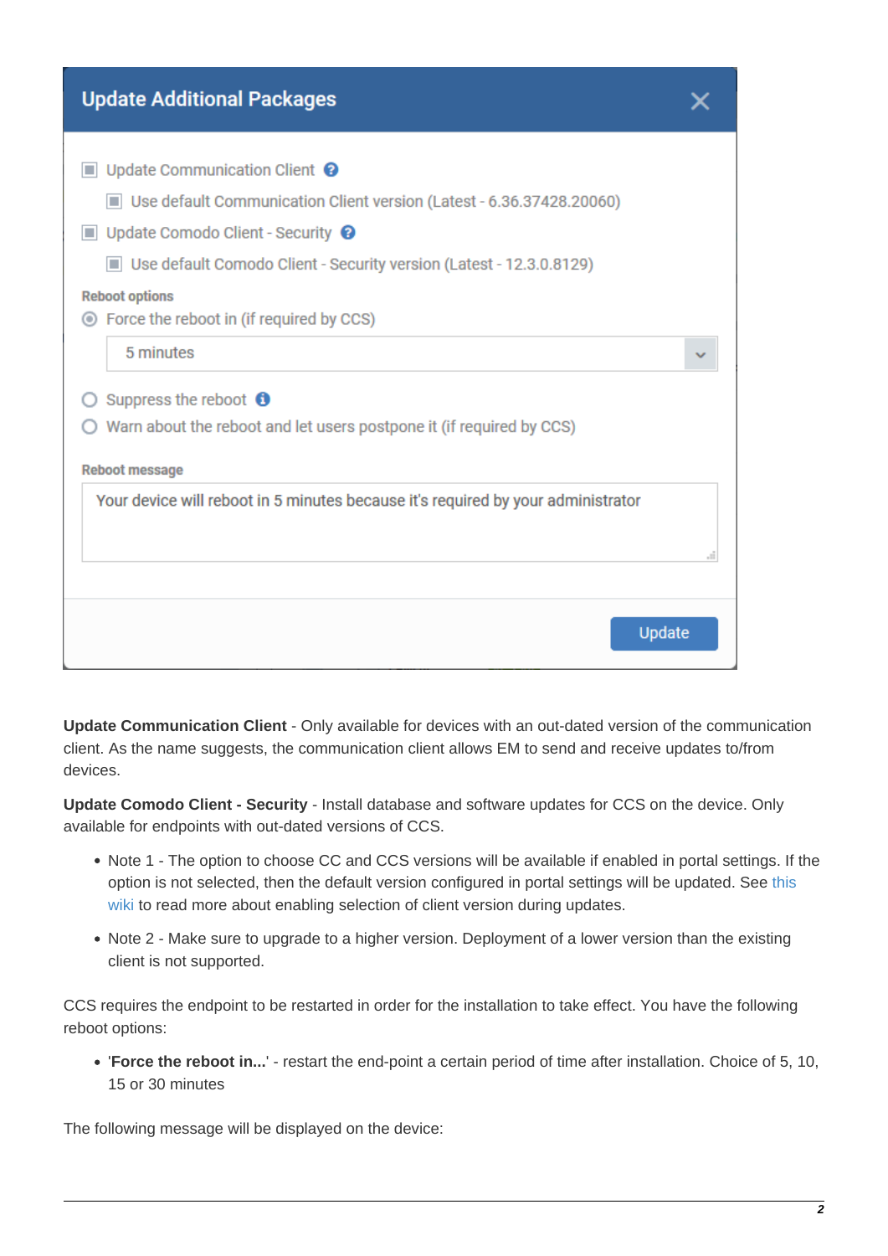| <b>Update Additional Packages</b>                                                |  |
|----------------------------------------------------------------------------------|--|
| Update Communication Client <sup>O</sup>                                         |  |
| Use default Communication Client version (Latest - 6.36.37428.20060)             |  |
| $\blacksquare$ Update Comodo Client - Security $\Theta$                          |  |
| Use default Comodo Client - Security version (Latest - 12.3.0.8129)              |  |
| <b>Reboot options</b>                                                            |  |
| ◯ Force the reboot in (if required by CCS)                                       |  |
| 5 minutes                                                                        |  |
| Suppress the reboot $\bullet$                                                    |  |
| Warn about the reboot and let users postpone it (if required by CCS)             |  |
| <b>Reboot message</b>                                                            |  |
| Your device will reboot in 5 minutes because it's required by your administrator |  |
|                                                                                  |  |
|                                                                                  |  |
|                                                                                  |  |
| Update                                                                           |  |
|                                                                                  |  |

**Update Communication Client** - Only available for devices with an out-dated version of the communication client. As the name suggests, the communication client allows EM to send and receive updates to/from devices.

**Update Comodo Client - Security** - Install database and software updates for CCS on the device. Only available for endpoints with out-dated versions of CCS.

- Note 1 The option to choose CC and CCS versions will be available if enabled in portal settings. If the option is not selected, then the default version configured in portal settings will be updated. See [this](https://wiki.itarian.com/frontend/web/topic/how-to-set-the-default-version-of-the-communication-and-security-clients-for-windows) [wiki](https://wiki.itarian.com/frontend/web/topic/how-to-set-the-default-version-of-the-communication-and-security-clients-for-windows) to read more about enabling selection of client version during updates.
- Note 2 Make sure to upgrade to a higher version. Deployment of a lower version than the existing client is not supported.

CCS requires the endpoint to be restarted in order for the installation to take effect. You have the following reboot options:

'**Force the reboot in...**' - restart the end-point a certain period of time after installation. Choice of 5, 10, 15 or 30 minutes

The following message will be displayed on the device: